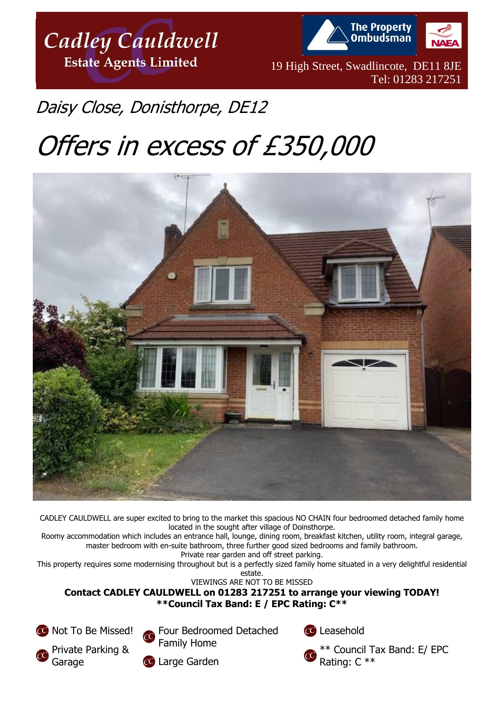

**The Property Ombudsman** 

19 High Street, Swadlincote, DE11 8JE Tel: 01283 217251

## Daisy Close, Donisthorpe, DE12

# Offers in excess of £350,000



CADLEY CAULDWELL are super excited to bring to the market this spacious NO CHAIN four bedroomed detached family home located in the sought after village of Doinsthorpe.

Roomy accommodation which includes an entrance hall, lounge, dining room, breakfast kitchen, utility room, integral garage, master bedroom with en-suite bathroom, three further good sized bedrooms and family bathroom.

Private rear garden and off street parking.

This property requires some modernising throughout but is a perfectly sized family home situated in a very delightful residential estate.

VIEWINGS ARE NOT TO BE MISSED

**Contact CADLEY CAULDWELL on 01283 217251 to arrange your viewing TODAY! \*\*Council Tax Band: E / EPC Rating: C\*\***

CO Not To Be Missed! Private Parking & **Garage** 



Large Garden

Leasehold

\*\* Council Tax Band: E/ EPC Rating: C \*\*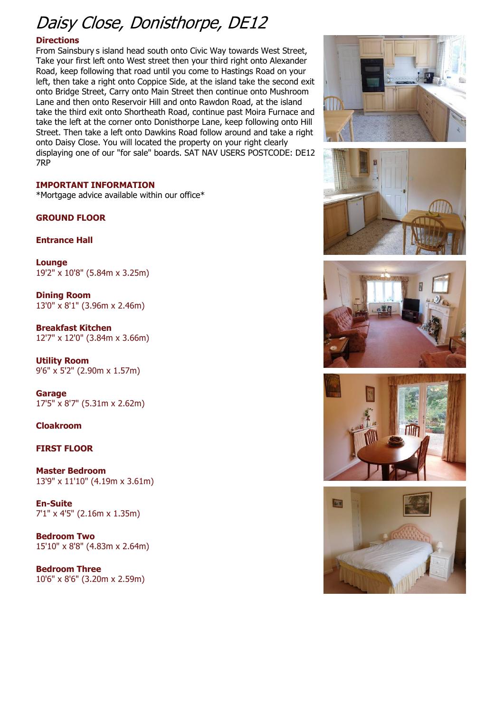## Daisy Close, Donisthorpe, DE12

#### **Directions**

From Sainsbury s island head south onto Civic Way towards West Street, Take your first left onto West street then your third right onto Alexander Road, keep following that road until you come to Hastings Road on your left, then take a right onto Coppice Side, at the island take the second exit onto Bridge Street, Carry onto Main Street then continue onto Mushroom Lane and then onto Reservoir Hill and onto Rawdon Road, at the island take the third exit onto Shortheath Road, continue past Moira Furnace and take the left at the corner onto Donisthorpe Lane, keep following onto Hill Street. Then take a left onto Dawkins Road follow around and take a right onto Daisy Close. You will located the property on your right clearly displaying one of our "for sale" boards. SAT NAV USERS POSTCODE: DE12 7RP

#### **IMPORTANT INFORMATION**

\*Mortgage advice available within our office\*

**GROUND FLOOR**

**Entrance Hall**

**Lounge** 19'2" x 10'8" (5.84m x 3.25m)

**Dining Room** 13'0" x 8'1" (3.96m x 2.46m)

**Breakfast Kitchen** 12'7" x 12'0" (3.84m x 3.66m)

**Utility Room** 9'6" x 5'2" (2.90m x 1.57m)

**Garage** 17'5" x 8'7" (5.31m x 2.62m)

#### **Cloakroom**

#### **FIRST FLOOR**

**Master Bedroom** 13'9" x 11'10" (4.19m x 3.61m)

**En-Suite** 7'1" x 4'5" (2.16m x 1.35m)

**Bedroom Two** 15'10" x 8'8" (4.83m x 2.64m)

**Bedroom Three** 10'6" x 8'6" (3.20m x 2.59m)